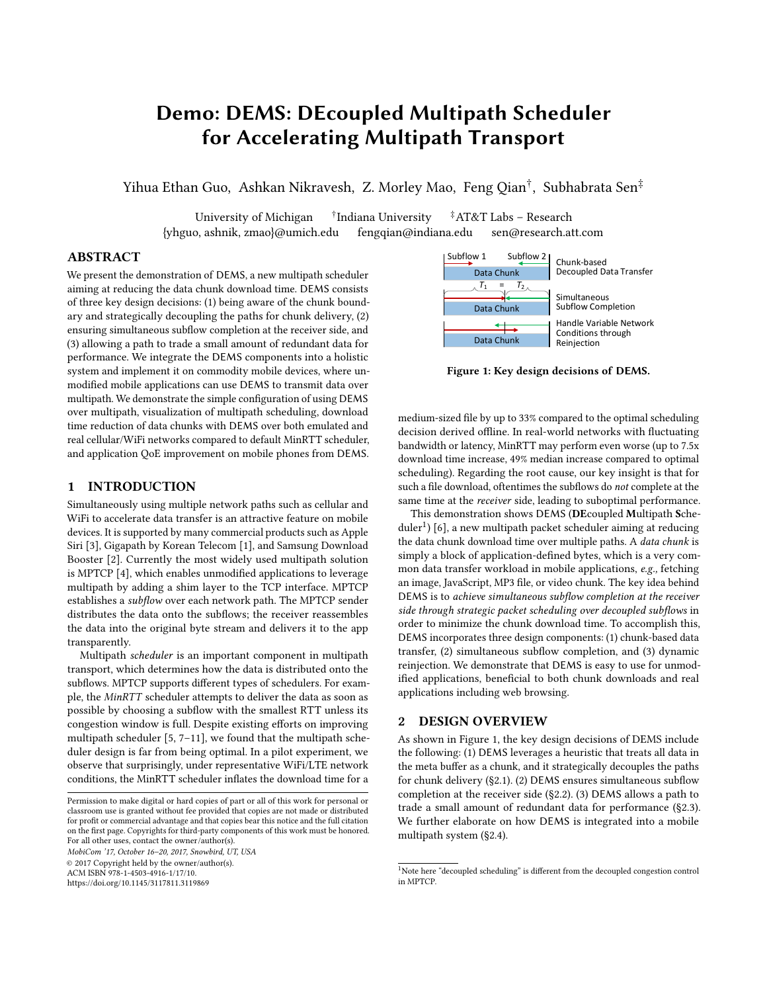# Demo: DEMS: DEcoupled Multipath Scheduler for Accelerating Multipath Transport

Yihua Ethan Guo, Ashkan Nikravesh, Z. Morley Mao, Feng Qian<sup>†</sup>, Subhabrata Sen<sup>‡</sup>

University of Michigan <sup>†</sup>Indiana University <sup>‡</sup>AT&T Labs – Research {yhguo, ashnik, zmao}@umich.edu fengqian@indiana.edu sen@research.att.com

## ABSTRACT

We present the demonstration of DEMS, a new multipath scheduler aiming at reducing the data chunk download time. DEMS consists of three key design decisions: (1) being aware of the chunk boundary and strategically decoupling the paths for chunk delivery, (2) ensuring simultaneous subflow completion at the receiver side, and (3) allowing a path to trade a small amount of redundant data for performance. We integrate the DEMS components into a holistic system and implement it on commodity mobile devices, where unmodified mobile applications can use DEMS to transmit data over multipath. We demonstrate the simple configuration of using DEMS over multipath, visualization of multipath scheduling, download time reduction of data chunks with DEMS over both emulated and real cellular/WiFi networks compared to default MinRTT scheduler, and application QoE improvement on mobile phones from DEMS.

#### 1 INTRODUCTION

Simultaneously using multiple network paths such as cellular and WiFi to accelerate data transfer is an attractive feature on mobile devices. It is supported by many commercial products such as Apple Siri [\[3\]](#page-2-0), Gigapath by Korean Telecom [\[1\]](#page-2-1), and Samsung Download Booster [\[2\]](#page-2-2). Currently the most widely used multipath solution is MPTCP [\[4\]](#page-2-3), which enables unmodified applications to leverage multipath by adding a shim layer to the TCP interface. MPTCP establishes a subflow over each network path. The MPTCP sender distributes the data onto the subflows; the receiver reassembles the data into the original byte stream and delivers it to the app transparently.

Multipath scheduler is an important component in multipath transport, which determines how the data is distributed onto the subflows. MPTCP supports different types of schedulers. For example, the MinRTT scheduler attempts to deliver the data as soon as possible by choosing a subflow with the smallest RTT unless its congestion window is full. Despite existing efforts on improving multipath scheduler [\[5,](#page-2-4) [7](#page-2-5)[–11\]](#page-2-6), we found that the multipath scheduler design is far from being optimal. In a pilot experiment, we observe that surprisingly, under representative WiFi/LTE network conditions, the MinRTT scheduler inflates the download time for a

MobiCom '17, October 16–20, 2017, Snowbird, UT, USA © 2017 Copyright held by the owner/author(s).

ACM ISBN 978-1-4503-4916-1/17/10.

<https://doi.org/10.1145/3117811.3119869>

<span id="page-0-1"></span>

Figure 1: Key design decisions of DEMS.

medium-sized file by up to 33% compared to the optimal scheduling decision derived offline. In real-world networks with fluctuating bandwidth or latency, MinRTT may perform even worse (up to 7.5x download time increase, 49% median increase compared to optimal scheduling). Regarding the root cause, our key insight is that for such a file download, oftentimes the subflows do not complete at the same time at the receiver side, leading to suboptimal performance.

This demonstration shows DEMS (DEcoupled Multipath Sche-duler<sup>[1](#page-0-0)</sup>) [\[6\]](#page-2-7), a new multipath packet scheduler aiming at reducing the data chunk download time over multiple paths. A data chunk is simply a block of application-defined bytes, which is a very common data transfer workload in mobile applications, e.g., fetching an image, JavaScript, MP3 file, or video chunk. The key idea behind DEMS is to achieve simultaneous subflow completion at the receiver side through strategic packet scheduling over decoupled subflows in order to minimize the chunk download time. To accomplish this, DEMS incorporates three design components: (1) chunk-based data transfer, (2) simultaneous subflow completion, and (3) dynamic reinjection. We demonstrate that DEMS is easy to use for unmodified applications, beneficial to both chunk downloads and real applications including web browsing.

#### 2 DESIGN OVERVIEW

As shown in Figure [1,](#page-0-1) the key design decisions of DEMS include the following: (1) DEMS leverages a heuristic that treats all data in the meta buffer as a chunk, and it strategically decouples the paths for chunk delivery ([§2.1\)](#page-1-0). (2) DEMS ensures simultaneous subflow completion at the receiver side ([§2.2\)](#page-1-1). (3) DEMS allows a path to trade a small amount of redundant data for performance ([§2.3\)](#page-1-2). We further elaborate on how DEMS is integrated into a mobile multipath system ([§2.4\)](#page-1-3).

Permission to make digital or hard copies of part or all of this work for personal or classroom use is granted without fee provided that copies are not made or distributed for profit or commercial advantage and that copies bear this notice and the full citation on the first page. Copyrights for third-party components of this work must be honored. For all other uses, contact the owner/author(s).

<span id="page-0-0"></span> $^{\rm 1}$  Note here "decoupled scheduling" is different from the decoupled congestion control in MPTCP.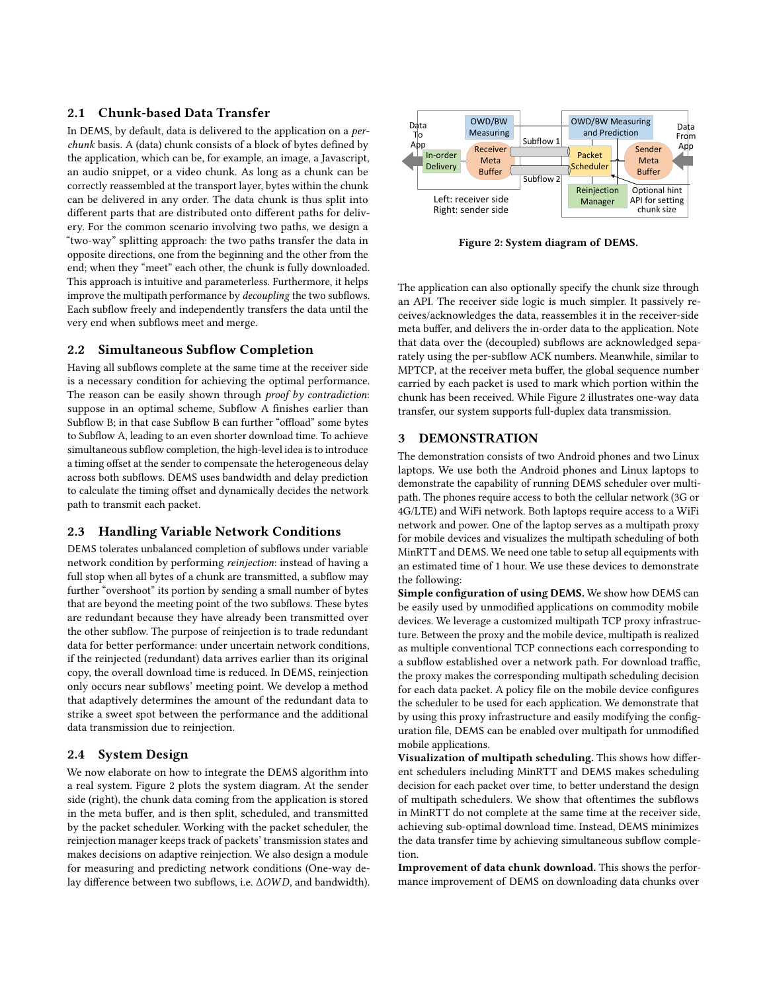## <span id="page-1-0"></span>2.1 Chunk-based Data Transfer

In DEMS, by default, data is delivered to the application on a perchunk basis. A (data) chunk consists of a block of bytes defined by the application, which can be, for example, an image, a Javascript, an audio snippet, or a video chunk. As long as a chunk can be correctly reassembled at the transport layer, bytes within the chunk can be delivered in any order. The data chunk is thus split into different parts that are distributed onto different paths for delivery. For the common scenario involving two paths, we design a "two-way" splitting approach: the two paths transfer the data in opposite directions, one from the beginning and the other from the end; when they "meet" each other, the chunk is fully downloaded. This approach is intuitive and parameterless. Furthermore, it helps improve the multipath performance by decoupling the two subflows. Each subflow freely and independently transfers the data until the very end when subflows meet and merge.

## <span id="page-1-1"></span>2.2 Simultaneous Subflow Completion

Having all subflows complete at the same time at the receiver side is a necessary condition for achieving the optimal performance. The reason can be easily shown through *proof by contradiction*: suppose in an optimal scheme, Subflow A finishes earlier than Subflow B; in that case Subflow B can further "offload" some bytes to Subflow A, leading to an even shorter download time. To achieve simultaneous subflow completion, the high-level idea is to introduce a timing offset at the sender to compensate the heterogeneous delay across both subflows. DEMS uses bandwidth and delay prediction to calculate the timing offset and dynamically decides the network path to transmit each packet.

#### <span id="page-1-2"></span>2.3 Handling Variable Network Conditions

DEMS tolerates unbalanced completion of subflows under variable network condition by performing reinjection: instead of having a full stop when all bytes of a chunk are transmitted, a subflow may further "overshoot" its portion by sending a small number of bytes that are beyond the meeting point of the two subflows. These bytes are redundant because they have already been transmitted over the other subflow. The purpose of reinjection is to trade redundant data for better performance: under uncertain network conditions, if the reinjected (redundant) data arrives earlier than its original copy, the overall download time is reduced. In DEMS, reinjection only occurs near subflows' meeting point. We develop a method that adaptively determines the amount of the redundant data to strike a sweet spot between the performance and the additional data transmission due to reinjection.

## <span id="page-1-3"></span>2.4 System Design

We now elaborate on how to integrate the DEMS algorithm into a real system. Figure [2](#page-1-4) plots the system diagram. At the sender side (right), the chunk data coming from the application is stored in the meta buffer, and is then split, scheduled, and transmitted by the packet scheduler. Working with the packet scheduler, the reinjection manager keeps track of packets' transmission states and makes decisions on adaptive reinjection. We also design a module for measuring and predicting network conditions (One-way delay difference between two subflows, i.e. ∆OW D, and bandwidth).

<span id="page-1-4"></span>

Figure 2: System diagram of DEMS.

The application can also optionally specify the chunk size through an API. The receiver side logic is much simpler. It passively receives/acknowledges the data, reassembles it in the receiver-side meta buffer, and delivers the in-order data to the application. Note that data over the (decoupled) subflows are acknowledged separately using the per-subflow ACK numbers. Meanwhile, similar to MPTCP, at the receiver meta buffer, the global sequence number carried by each packet is used to mark which portion within the chunk has been received. While Figure [2](#page-1-4) illustrates one-way data transfer, our system supports full-duplex data transmission.

# 3 DEMONSTRATION

The demonstration consists of two Android phones and two Linux laptops. We use both the Android phones and Linux laptops to demonstrate the capability of running DEMS scheduler over multipath. The phones require access to both the cellular network (3G or 4G/LTE) and WiFi network. Both laptops require access to a WiFi network and power. One of the laptop serves as a multipath proxy for mobile devices and visualizes the multipath scheduling of both MinRTT and DEMS. We need one table to setup all equipments with an estimated time of 1 hour. We use these devices to demonstrate the following:

Simple configuration of using DEMS. We show how DEMS can be easily used by unmodified applications on commodity mobile devices. We leverage a customized multipath TCP proxy infrastructure. Between the proxy and the mobile device, multipath is realized as multiple conventional TCP connections each corresponding to a subflow established over a network path. For download traffic, the proxy makes the corresponding multipath scheduling decision for each data packet. A policy file on the mobile device configures the scheduler to be used for each application. We demonstrate that by using this proxy infrastructure and easily modifying the configuration file, DEMS can be enabled over multipath for unmodified mobile applications.

Visualization of multipath scheduling. This shows how different schedulers including MinRTT and DEMS makes scheduling decision for each packet over time, to better understand the design of multipath schedulers. We show that oftentimes the subflows in MinRTT do not complete at the same time at the receiver side, achieving sub-optimal download time. Instead, DEMS minimizes the data transfer time by achieving simultaneous subflow completion.

Improvement of data chunk download. This shows the performance improvement of DEMS on downloading data chunks over